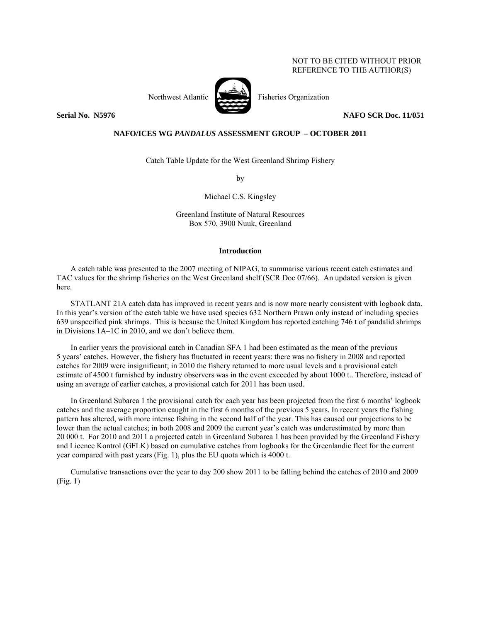# NOT TO BE CITED WITHOUT PRIOR REFERENCE TO THE AUTHOR(S)



Northwest Atlantic Fisheries Organization

**Serial No. N5976** NAFO SCR Doc. 11/051

## **NAFO/ICES WG** *PANDALUS* **ASSESSMENT GROUP – OCTOBER 2011**

Catch Table Update for the West Greenland Shrimp Fishery

by

Michael C.S. Kingsley

Greenland Institute of Natural Resources Box 570, 3900 Nuuk, Greenland

#### **Introduction**

A catch table was presented to the 2007 meeting of NIPAG, to summarise various recent catch estimates and TAC values for the shrimp fisheries on the West Greenland shelf (SCR Doc 07/66). An updated version is given here.

STATLANT 21A catch data has improved in recent years and is now more nearly consistent with logbook data. In this year's version of the catch table we have used species 632 Northern Prawn only instead of including species 639 unspecified pink shrimps. This is because the United Kingdom has reported catching 746 t of pandalid shrimps in Divisions 1A–1C in 2010, and we don't believe them.

In earlier years the provisional catch in Canadian SFA 1 had been estimated as the mean of the previous 5 years' catches. However, the fishery has fluctuated in recent years: there was no fishery in 2008 and reported catches for 2009 were insignificant; in 2010 the fishery returned to more usual levels and a provisional catch estimate of 4500 t furnished by industry observers was in the event exceeded by about 1000 t.. Therefore, instead of using an average of earlier catches, a provisional catch for 2011 has been used.

In Greenland Subarea 1 the provisional catch for each year has been projected from the first 6 months' logbook catches and the average proportion caught in the first 6 months of the previous 5 years. In recent years the fishing pattern has altered, with more intense fishing in the second half of the year. This has caused our projections to be lower than the actual catches; in both 2008 and 2009 the current year's catch was underestimated by more than 20 000 t. For 2010 and 2011 a projected catch in Greenland Subarea 1 has been provided by the Greenland Fishery and Licence Kontrol (GFLK) based on cumulative catches from logbooks for the Greenlandic fleet for the current year compared with past years (Fig. 1), plus the EU quota which is 4000 t.

Cumulative transactions over the year to day 200 show 2011 to be falling behind the catches of 2010 and 2009 (Fig. 1)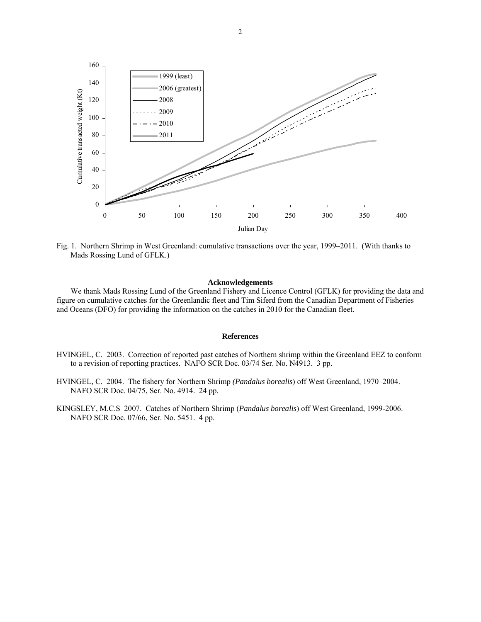

Fig. 1. Northern Shrimp in West Greenland: cumulative transactions over the year, 1999–2011. (With thanks to Mads Rossing Lund of GFLK.)

### **Acknowledgements**

We thank Mads Rossing Lund of the Greenland Fishery and Licence Control (GFLK) for providing the data and figure on cumulative catches for the Greenlandic fleet and Tim Siferd from the Canadian Department of Fisheries and Oceans (DFO) for providing the information on the catches in 2010 for the Canadian fleet.

### **References**

- HVINGEL, C. 2003. Correction of reported past catches of Northern shrimp within the Greenland EEZ to conform to a revision of reporting practices. NAFO SCR Doc. 03/74 Ser. No. N4913. 3 pp.
- HVINGEL, C. 2004. The fishery for Northern Shrimp *(Pandalus borealis*) off West Greenland, 1970–2004. NAFO SCR Doc. 04/75, Ser. No. 4914. 24 pp.
- KINGSLEY, M.C.S 2007. Catches of Northern Shrimp (*Pandalus borealis*) off West Greenland, 1999-2006. NAFO SCR Doc. 07/66, Ser. No. 5451. 4 pp.